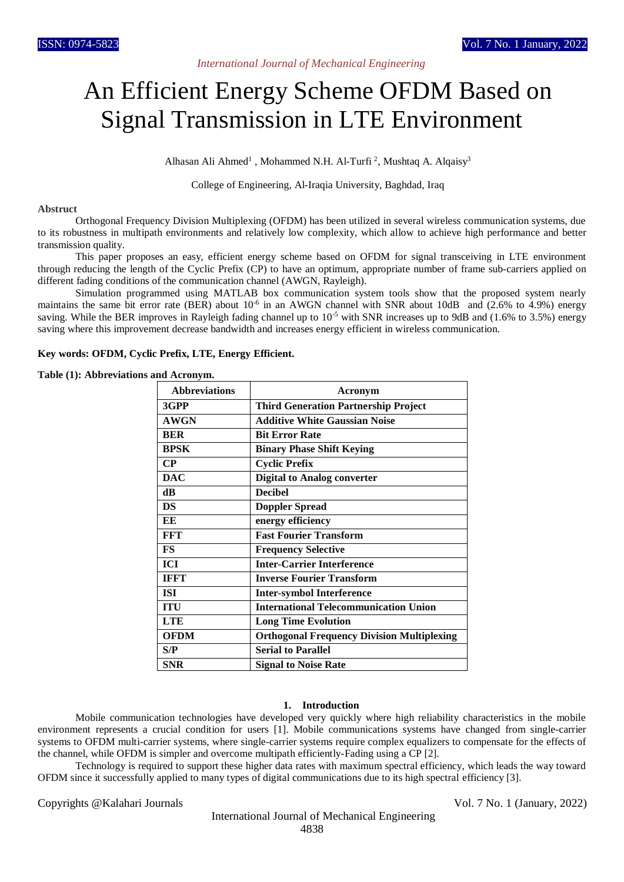# An Efficient Energy Scheme OFDM Based on Signal Transmission in LTE Environment

Alhasan Ali Ahmed<sup>1</sup>, Mohammed N.H. Al-Turfi<sup>2</sup>, Mushtaq A. Alqaisy<sup>3</sup>

College of Engineering, Al-Iraqia University, Baghdad, Iraq

### **Abstruct**

Orthogonal Frequency Division Multiplexing (OFDM) has been utilized in several wireless communication systems, due to its robustness in multipath environments and relatively low complexity, which allow to achieve high performance and better transmission quality.

This paper proposes an easy, efficient energy scheme based on OFDM for signal transceiving in LTE environment through reducing the length of the Cyclic Prefix (CP) to have an optimum, appropriate number of frame sub-carriers applied on different fading conditions of the communication channel (AWGN, Rayleigh).

Simulation programmed using MATLAB box communication system tools show that the proposed system nearly maintains the same bit error rate (BER) about 10<sup>-6</sup> in an AWGN channel with SNR about 10dB and (2.6% to 4.9%) energy saving. While the BER improves in Rayleigh fading channel up to  $10^{-5}$  with SNR increases up to 9dB and (1.6% to 3.5%) energy saving where this improvement decrease bandwidth and increases energy efficient in wireless communication.

# **Key words: OFDM, Cyclic Prefix, LTE, Energy Efficient.**

**Table (1): Abbreviations and Acronym.**

| <b>Abbreviations</b> | Acronym                                           |
|----------------------|---------------------------------------------------|
| 3GPP                 | <b>Third Generation Partnership Project</b>       |
| <b>AWGN</b>          | <b>Additive White Gaussian Noise</b>              |
| <b>BER</b>           | <b>Bit Error Rate</b>                             |
| <b>BPSK</b>          | <b>Binary Phase Shift Keying</b>                  |
| $\bf CP$             | <b>Cyclic Prefix</b>                              |
| <b>DAC</b>           | <b>Digital to Analog converter</b>                |
| dB                   | <b>Decibel</b>                                    |
| <b>DS</b>            | <b>Doppler Spread</b>                             |
| EE                   | energy efficiency                                 |
| FFT                  | <b>Fast Fourier Transform</b>                     |
| <b>FS</b>            | <b>Frequency Selective</b>                        |
| ICI                  | <b>Inter-Carrier Interference</b>                 |
| <b>IFFT</b>          | <b>Inverse Fourier Transform</b>                  |
| ISI                  | <b>Inter-symbol Interference</b>                  |
| <b>ITU</b>           | <b>International Telecommunication Union</b>      |
| <b>LTE</b>           | <b>Long Time Evolution</b>                        |
| <b>OFDM</b>          | <b>Orthogonal Frequency Division Multiplexing</b> |
| S/P                  | <b>Serial to Parallel</b>                         |
| SNR                  | <b>Signal to Noise Rate</b>                       |

## **1. Introduction**

Mobile communication technologies have developed very quickly where high reliability characteristics in the mobile environment represents a crucial condition for users [1]. Mobile communications systems have changed from single-carrier systems to OFDM multi-carrier systems, where single-carrier systems require complex equalizers to compensate for the effects of the channel, while OFDM is simpler and overcome multipath efficiently-Fading using a CP [2].

Technology is required to support these higher data rates with maximum spectral efficiency, which leads the way toward OFDM since it successfully applied to many types of digital communications due to its high spectral efficiency [3].

Copyrights @Kalahari Journals Vol. 7 No. 1 (January, 2022)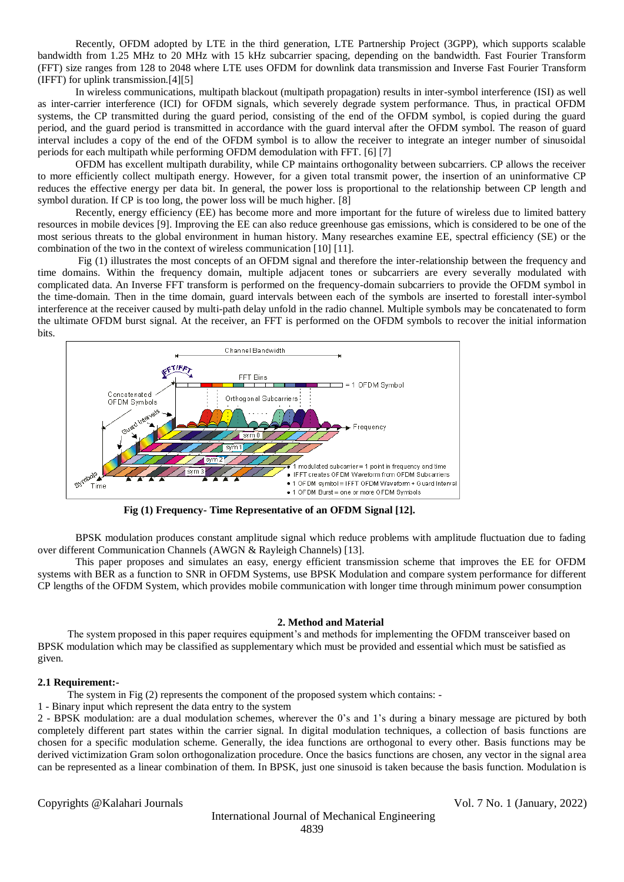Recently, OFDM adopted by LTE in the third generation, LTE Partnership Project (3GPP), which supports scalable bandwidth from 1.25 MHz to 20 MHz with 15 kHz subcarrier spacing, depending on the bandwidth. Fast Fourier Transform (FFT) size ranges from 128 to 2048 where LTE uses OFDM for downlink data transmission and Inverse Fast Fourier Transform (IFFT) for uplink transmission.[4][5]

In wireless communications, multipath blackout (multipath propagation) results in inter-symbol interference (ISI) as well as inter-carrier interference (ICI) for OFDM signals, which severely degrade system performance. Thus, in practical OFDM systems, the CP transmitted during the guard period, consisting of the end of the OFDM symbol, is copied during the guard period, and the guard period is transmitted in accordance with the guard interval after the OFDM symbol. The reason of guard interval includes a copy of the end of the OFDM symbol is to allow the receiver to integrate an integer number of sinusoidal periods for each multipath while performing OFDM demodulation with FFT. [6] [7]

OFDM has excellent multipath durability, while CP maintains orthogonality between subcarriers. CP allows the receiver to more efficiently collect multipath energy. However, for a given total transmit power, the insertion of an uninformative CP reduces the effective energy per data bit. In general, the power loss is proportional to the relationship between CP length and symbol duration. If CP is too long, the power loss will be much higher. [8]

Recently, energy efficiency (EE) has become more and more important for the future of wireless due to limited battery resources in mobile devices [9]. Improving the EE can also reduce greenhouse gas emissions, which is considered to be one of the most serious threats to the global environment in human history. Many researches examine EE, spectral efficiency (SE) or the combination of the two in the context of wireless communication [10] [11].

Fig (1) illustrates the most concepts of an OFDM signal and therefore the inter-relationship between the frequency and time domains. Within the frequency domain, multiple adjacent tones or subcarriers are every severally modulated with complicated data. An Inverse FFT transform is performed on the frequency-domain subcarriers to provide the OFDM symbol in the time-domain. Then in the time domain, guard intervals between each of the symbols are inserted to forestall inter-symbol interference at the receiver caused by multi-path delay unfold in the radio channel. Multiple symbols may be concatenated to form the ultimate OFDM burst signal. At the receiver, an FFT is performed on the OFDM symbols to recover the initial information bits.



**Fig (1) Frequency- Time Representative of an OFDM Signal [12].**

BPSK modulation produces constant amplitude signal which reduce problems with amplitude fluctuation due to fading over different Communication Channels (AWGN & Rayleigh Channels) [13].

This paper proposes and simulates an easy, energy efficient transmission scheme that improves the EE for OFDM systems with BER as a function to SNR in OFDM Systems, use BPSK Modulation and compare system performance for different CP lengths of the OFDM System, which provides mobile communication with longer time through minimum power consumption

#### **2. Method and Material**

The system proposed in this paper requires equipment's and methods for implementing the OFDM transceiver based on BPSK modulation which may be classified as supplementary which must be provided and essential which must be satisfied as given.

## **2.1 Requirement:-**

The system in Fig (2) represents the component of the proposed system which contains: -

1 - Binary input which represent the data entry to the system

2 - BPSK modulation: are a dual modulation schemes, wherever the 0's and 1's during a binary message are pictured by both completely different part states within the carrier signal. In digital modulation techniques, a collection of basis functions are chosen for a specific modulation scheme. Generally, the idea functions are orthogonal to every other. Basis functions may be derived victimization Gram solon orthogonalization procedure. Once the basics functions are chosen, any vector in the signal area can be represented as a linear combination of them. In BPSK, just one sinusoid is taken because the basis function. Modulation is

Copyrights @Kalahari Journals Vol. 7 No. 1 (January, 2022)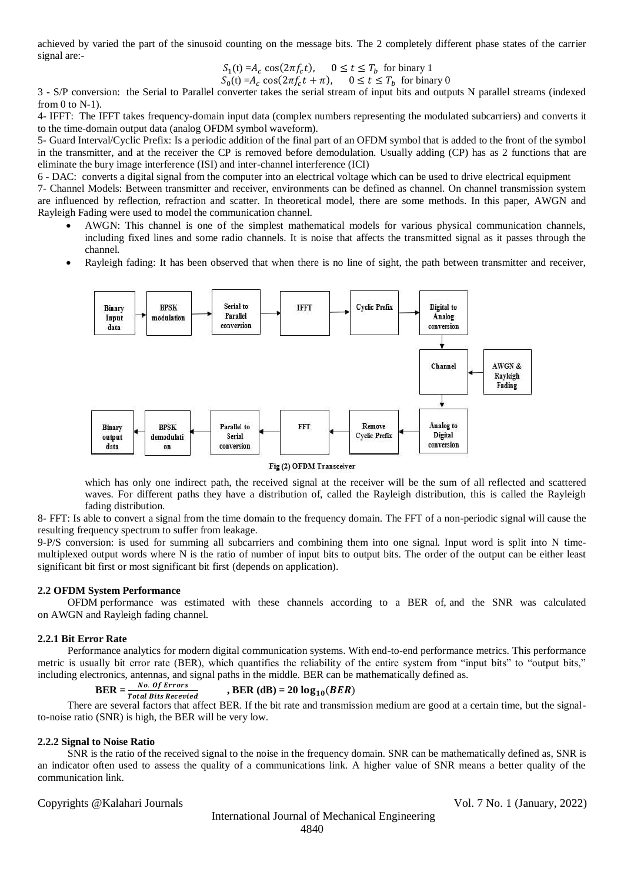achieved by varied the part of the sinusoid counting on the message bits. The 2 completely different phase states of the carrier signal are:-

$$
S_1(t) = A_c \cos(2\pi f_c t), \quad 0 \le t \le T_b \text{ for binary } 1
$$

$$
S_0(t) = A_c \cos(2\pi f_c t + \pi), \quad 0 \le t \le T_b \text{ for binary } 0
$$

3 - S/P conversion: the Serial to Parallel converter takes the serial stream of input bits and outputs N parallel streams (indexed from  $0$  to  $N-1$ ).

4- IFFT: The IFFT takes frequency-domain input data (complex numbers representing the modulated subcarriers) and converts it to the time-domain output data (analog OFDM symbol waveform).

5- Guard Interval/Cyclic Prefix: Is a periodic addition of the final part of an OFDM symbol that is added to the front of the symbol in the transmitter, and at the receiver the CP is removed before demodulation. Usually adding (CP) has as 2 functions that are eliminate the bury image interference (ISI) and inter-channel interference (ICI)

6 - DAC: converts a digital signal from the computer into an electrical voltage which can be used to drive electrical equipment

7- Channel Models: Between transmitter and receiver, environments can be defined as channel. On channel transmission system are influenced by reflection, refraction and scatter. In theoretical model, there are some methods. In this paper, AWGN and Rayleigh Fading were used to model the communication channel.

- AWGN: This channel is one of the simplest mathematical models for various physical communication channels, including fixed lines and some radio channels. It is noise that affects the transmitted signal as it passes through the channel.
- Rayleigh fading: It has been observed that when there is no line of sight, the path between transmitter and receiver,



#### Fig (2) OFDM Transceiver

which has only one indirect path, the received signal at the receiver will be the sum of all reflected and scattered waves. For different paths they have a distribution of, called the Rayleigh distribution, this is called the Rayleigh fading distribution.

8- FFT: Is able to convert a signal from the time domain to the frequency domain. The FFT of a non-periodic signal will cause the resulting frequency spectrum to suffer from leakage.

9-P/S conversion: is used for summing all subcarriers and combining them into one signal. Input word is split into N timemultiplexed output words where N is the ratio of number of input bits to output bits. The order of the output can be either least significant bit first or most significant bit first (depends on application).

## **2.2 OFDM System Performance**

OFDM performance was estimated with these channels according to a BER of, and the SNR was calculated on AWGN and Rayleigh fading channel.

## **2.2.1 Bit Error Rate**

Performance analytics for modern digital communication systems. With end-to-end performance metrics. This performance metric is usually bit error rate (BER), which quantifies the reliability of the entire system from "input bits" to "output bits," including electronics, antennas, and signal paths in the middle. BER can be mathematically defined as.

$$
BER = \frac{No. \text{ of Errors}}{Total Bits\text{ }Bccenied}
$$
, 
$$
BER (dB) = 20 \log_{10} (BER)
$$

There are several factors that affect BER. If the bit rate and transmission medium are good at a certain time, but the signal-<br>There are several factors that affect BER. If the bit rate and transmission medium are good at to-noise ratio (SNR) is high, the BER will be very low.

## **2.2.2 Signal to Noise Ratio**

SNR is the ratio of the received signal to the noise in the frequency domain. SNR can be mathematically defined as, SNR is an indicator often used to assess the quality of a communications link. A higher value of SNR means a better quality of the communication link.

Copyrights @Kalahari Journals Vol. 7 No. 1 (January, 2022)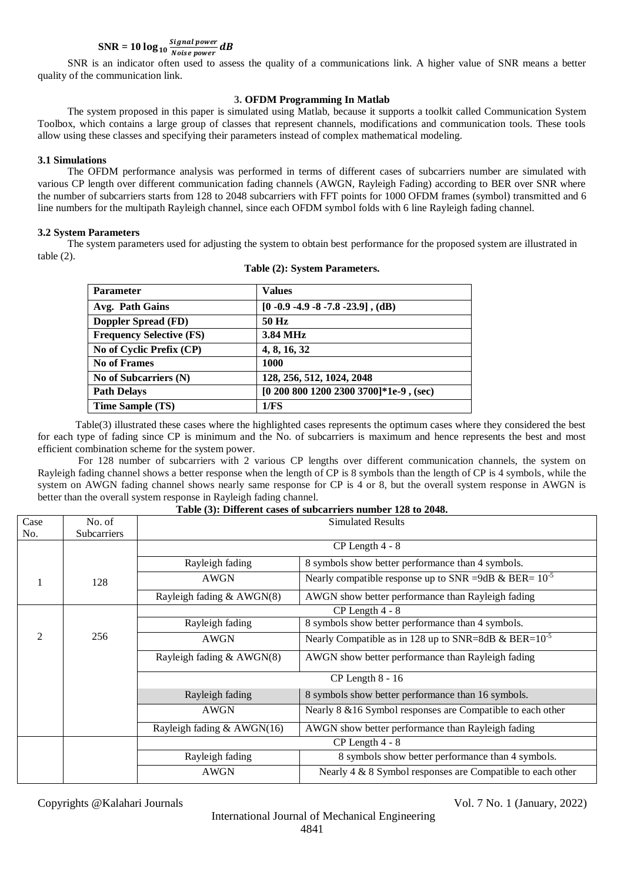#### $\textbf{SNR} = 10 \log_{10} \frac{Signal power}{Noise power}$ *Noise power*  $dB$

SNR is an indicator often used to assess the quality of a communications link. A higher value of SNR means a better quality of the communication link.

# **3. OFDM Programming In Matlab**

The system proposed in this paper is simulated using Matlab, because it supports a toolkit called Communication System Toolbox, which contains a large group of classes that represent channels, modifications and communication tools. These tools allow using these classes and specifying their parameters instead of complex mathematical modeling.

# **3.1 Simulations**

The OFDM performance analysis was performed in terms of different cases of subcarriers number are simulated with various CP length over different communication fading channels (AWGN, Rayleigh Fading) according to BER over SNR where the number of subcarriers starts from 128 to 2048 subcarriers with FFT points for 1000 OFDM frames (symbol) transmitted and 6 line numbers for the multipath Rayleigh channel, since each OFDM symbol folds with 6 line Rayleigh fading channel.

# **3.2 System Parameters**

The system parameters used for adjusting the system to obtain best performance for the proposed system are illustrated in table (2).

| <b>Parameter</b>                | <b>Values</b>                          |
|---------------------------------|----------------------------------------|
| Avg. Path Gains                 | $[0 -0.9 -4.9 -8 -7.8 -23.9]$ , (dB)   |
| Doppler Spread (FD)             | 50 Hz                                  |
| <b>Frequency Selective (FS)</b> | 3.84 MHz                               |
| No of Cyclic Prefix (CP)        | 4, 8, 16, 32                           |
| <b>No of Frames</b>             | 1000                                   |
| No of Subcarriers (N)           | 128, 256, 512, 1024, 2048              |
| <b>Path Delays</b>              | [0 200 800 1200 2300 3700]*1e-9, (sec) |
| Time Sample (TS)                | 1/FS                                   |

**Table (2): System Parameters.**

Table(3) illustrated these cases where the highlighted cases represents the optimum cases where they considered the best for each type of fading since CP is minimum and the No. of subcarriers is maximum and hence represents the best and most efficient combination scheme for the system power.

For 128 number of subcarriers with 2 various CP lengths over different communication channels, the system on Rayleigh fading channel shows a better response when the length of CP is 8 symbols than the length of CP is 4 symbols, while the system on AWGN fading channel shows nearly same response for CP is 4 or 8, but the overall system response in AWGN is better than the overall system response in Rayleigh fading channel.

| Table (3). Different cases of subcarriers humber 120 to 2040. |                    |                              |                                                             |  |  |  |  |
|---------------------------------------------------------------|--------------------|------------------------------|-------------------------------------------------------------|--|--|--|--|
| Case                                                          | No. of             | <b>Simulated Results</b>     |                                                             |  |  |  |  |
| No.                                                           | <b>Subcarriers</b> |                              |                                                             |  |  |  |  |
|                                                               |                    | CP Length 4 - 8              |                                                             |  |  |  |  |
|                                                               |                    | Rayleigh fading              | 8 symbols show better performance than 4 symbols.           |  |  |  |  |
|                                                               | 128                | <b>AWGN</b>                  | Nearly compatible response up to SNR =9dB & BER= $10^{-5}$  |  |  |  |  |
|                                                               |                    | Rayleigh fading & AWGN(8)    | AWGN show better performance than Rayleigh fading           |  |  |  |  |
|                                                               |                    | $CP$ Length 4 - 8            |                                                             |  |  |  |  |
|                                                               |                    | Rayleigh fading              | 8 symbols show better performance than 4 symbols.           |  |  |  |  |
| $\mathfrak{D}$                                                | 256                | <b>AWGN</b>                  | Nearly Compatible as in 128 up to SNR=8dB & BER= $10^{-5}$  |  |  |  |  |
|                                                               |                    | Rayleigh fading & AWGN(8)    | AWGN show better performance than Rayleigh fading           |  |  |  |  |
|                                                               |                    | $CP$ Length $8 - 16$         |                                                             |  |  |  |  |
|                                                               |                    | Rayleigh fading              | 8 symbols show better performance than 16 symbols.          |  |  |  |  |
|                                                               |                    | <b>AWGN</b>                  | Nearly 8 & 16 Symbol responses are Compatible to each other |  |  |  |  |
|                                                               |                    | Rayleigh fading $& AWGN(16)$ | AWGN show better performance than Rayleigh fading           |  |  |  |  |
|                                                               |                    | $CP$ Length 4 - 8            |                                                             |  |  |  |  |
|                                                               |                    | Rayleigh fading              | 8 symbols show better performance than 4 symbols.           |  |  |  |  |
|                                                               |                    | <b>AWGN</b>                  | Nearly 4 & 8 Symbol responses are Compatible to each other  |  |  |  |  |

# **Table (3): Different cases of subcarriers number 128 to 2048.**

Copyrights @Kalahari Journals Vol. 7 No. 1 (January, 2022)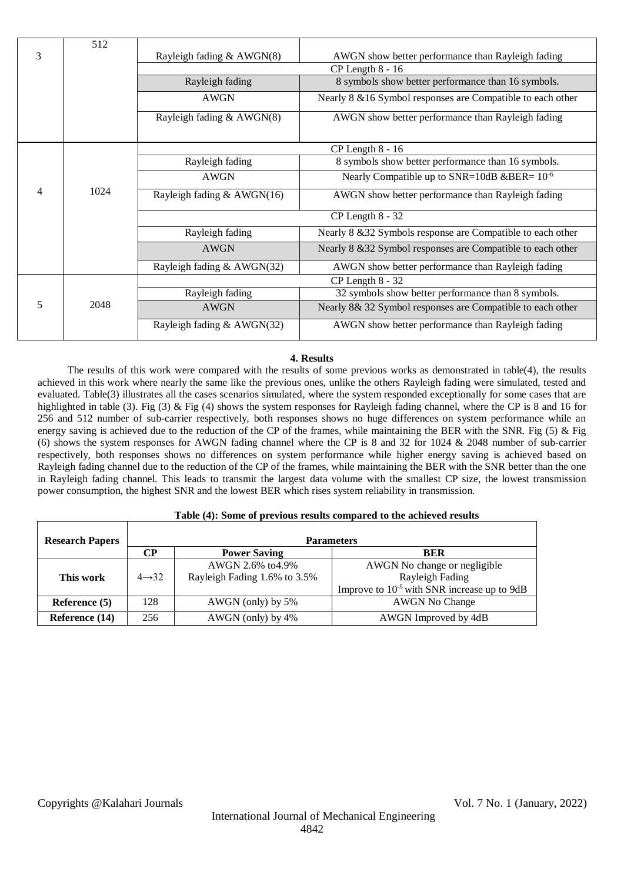|   | 512  |                              |                                                             |  |  |  |
|---|------|------------------------------|-------------------------------------------------------------|--|--|--|
| 3 |      | Rayleigh fading & AWGN(8)    | AWGN show better performance than Rayleigh fading           |  |  |  |
|   |      | $CP$ Length $8 - 16$         |                                                             |  |  |  |
|   |      | Rayleigh fading              | 8 symbols show better performance than 16 symbols.          |  |  |  |
|   |      | <b>AWGN</b>                  | Nearly 8 & 16 Symbol responses are Compatible to each other |  |  |  |
|   |      | Rayleigh fading & AWGN(8)    | AWGN show better performance than Rayleigh fading           |  |  |  |
|   |      | $CP$ Length $8 - 16$         |                                                             |  |  |  |
|   |      | Rayleigh fading              | 8 symbols show better performance than 16 symbols.          |  |  |  |
|   |      | <b>AWGN</b>                  | Nearly Compatible up to SNR=10dB &BER= $10^{-6}$            |  |  |  |
| 4 | 1024 | Rayleigh fading $& AWGN(16)$ | AWGN show better performance than Rayleigh fading           |  |  |  |
|   |      |                              | $CP$ Length $8 - 32$                                        |  |  |  |
|   |      | Rayleigh fading              | Nearly 8 & 32 Symbols response are Compatible to each other |  |  |  |
|   |      | AWGN                         | Nearly 8 & 32 Symbol responses are Compatible to each other |  |  |  |
|   |      | Rayleigh fading & AWGN(32)   | AWGN show better performance than Rayleigh fading           |  |  |  |
|   | 2048 | $CP$ Length $8 - 32$         |                                                             |  |  |  |
| 5 |      | Rayleigh fading              | 32 symbols show better performance than 8 symbols.          |  |  |  |
|   |      | <b>AWGN</b>                  | Nearly 8& 32 Symbol responses are Compatible to each other  |  |  |  |
|   |      | Rayleigh fading & AWGN(32)   | AWGN show better performance than Rayleigh fading           |  |  |  |

# **4. Results**

The results of this work were compared with the results of some previous works as demonstrated in table(4), the results achieved in this work where nearly the same like the previous ones, unlike the others Rayleigh fading were simulated, tested and evaluated. Table(3) illustrates all the cases scenarios simulated, where the system responded exceptionally for some cases that are highlighted in table (3). Fig (3) & Fig (4) shows the system responses for Rayleigh fading channel, where the CP is 8 and 16 for 256 and 512 number of sub-carrier respectively, both responses shows no huge differences on system performance while an energy saving is achieved due to the reduction of the CP of the frames, while maintaining the BER with the SNR. Fig (5) & Fig (6) shows the system responses for AWGN fading channel where the CP is 8 and 32 for 1024 & 2048 number of sub-carrier respectively, both responses shows no differences on system performance while higher energy saving is achieved based on Rayleigh fading channel due to the reduction of the CP of the frames, while maintaining the BER with the SNR better than the one in Rayleigh fading channel. This leads to transmit the largest data volume with the smallest CP size, the lowest transmission power consumption, the highest SNR and the lowest BER which rises system reliability in transmission.

| Table (4): Some of previous results compared to the achieved results |                    |                              |                                                         |  |  |
|----------------------------------------------------------------------|--------------------|------------------------------|---------------------------------------------------------|--|--|
| <b>Research Papers</b>                                               | <b>Parameters</b>  |                              |                                                         |  |  |
|                                                                      | CР                 | <b>Power Saving</b>          | <b>BER</b>                                              |  |  |
|                                                                      |                    | AWGN 2.6% to 4.9%            | AWGN No change or negligible                            |  |  |
| This work                                                            | $4 \rightarrow 32$ | Rayleigh Fading 1.6% to 3.5% | Rayleigh Fading                                         |  |  |
|                                                                      |                    |                              | Improve to 10 <sup>-5</sup> with SNR increase up to 9dB |  |  |
| Reference (5)                                                        | 128                | AWGN (only) by 5%            | <b>AWGN</b> No Change                                   |  |  |
| Reference (14)                                                       | 256                | AWGN (only) by 4%            | AWGN Improved by 4dB                                    |  |  |

# **Table (4): Some of previous results compared to the achieved results**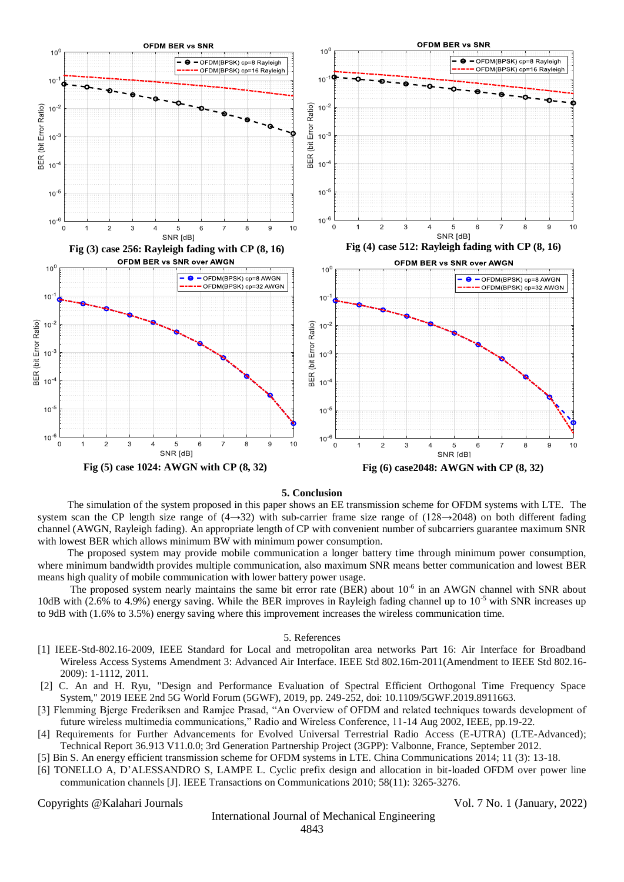

#### **5. Conclusion**

The simulation of the system proposed in this paper shows an EE transmission scheme for OFDM systems with LTE. The system scan the CP length size range of  $(4\rightarrow 32)$  with sub-carrier frame size range of  $(128\rightarrow 2048)$  on both different fading channel (AWGN, Rayleigh fading). An appropriate length of CP with convenient number of subcarriers guarantee maximum SNR with lowest BER which allows minimum BW with minimum power consumption.

The proposed system may provide mobile communication a longer battery time through minimum power consumption, where minimum bandwidth provides multiple communication, also maximum SNR means better communication and lowest BER means high quality of mobile communication with lower battery power usage.

The proposed system nearly maintains the same bit error rate (BER) about 10<sup>-6</sup> in an AWGN channel with SNR about 10dB with (2.6% to 4.9%) energy saving. While the BER improves in Rayleigh fading channel up to  $10^{-5}$  with SNR increases up to 9dB with (1.6% to 3.5%) energy saving where this improvement increases the wireless communication time.

## 5. References

- [1] IEEE-Std-802.16-2009, IEEE Standard for Local and metropolitan area networks Part 16: Air Interface for Broadband Wireless Access Systems Amendment 3: Advanced Air Interface. IEEE Std 802.16m-2011(Amendment to IEEE Std 802.16- 2009): 1-1112, 2011.
- [2] C. An and H. Ryu, "Design and Performance Evaluation of Spectral Efficient Orthogonal Time Frequency Space System," 2019 IEEE 2nd 5G World Forum (5GWF), 2019, pp. 249-252, doi: 10.1109/5GWF.2019.8911663.
- [3] Flemming Bjerge Frederiksen and Ramjee Prasad, "An Overview of OFDM and related techniques towards development of future wireless multimedia communications," Radio and Wireless Conference, 11-14 Aug 2002, IEEE, pp.19-22.
- [4] Requirements for Further Advancements for Evolved Universal Terrestrial Radio Access (E-UTRA) (LTE-Advanced); Technical Report 36.913 V11.0.0; 3rd Generation Partnership Project (3GPP): Valbonne, France, September 2012.
- [5] Bin S. An energy efficient transmission scheme for OFDM systems in LTE. China Communications 2014; 11 (3): 13-18.
- [6] TONELLO A, D'ALESSANDRO S, LAMPE L. Cyclic prefix design and allocation in bit-loaded OFDM over power line communication channels [J]. IEEE Transactions on Communications 2010; 58(11): 3265-3276.

Copyrights @Kalahari Journals Vol. 7 No. 1 (January, 2022)